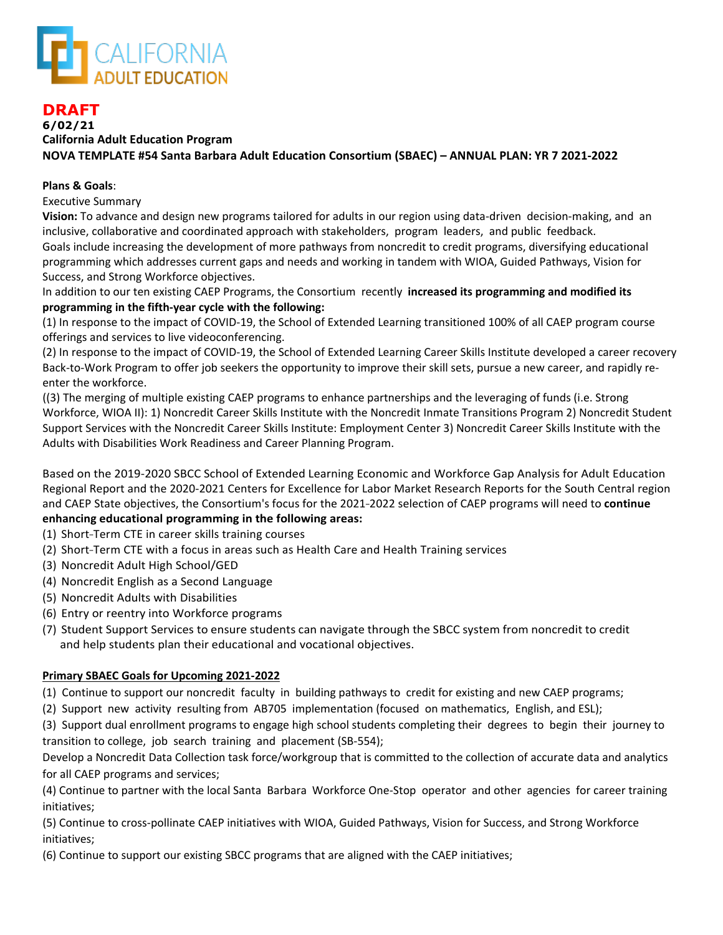

# **DRAFT 6/02/21 California Adult Education Program NOVA TEMPLATE #54 Santa Barbara Adult Education Consortium (SBAEC) – ANNUAL PLAN: YR 7 2021-2022**

### **Plans & Goals**:

Executive Summary

**Vision:** To advance and design new programs tailored for adults in our region using data-driven decision-making, and an inclusive, collaborative and coordinated approach with stakeholders, program leaders, and public feedback. Goals include increasing the development of more pathways from noncredit to credit programs, diversifying educational programming which addresses current gaps and needs and working in tandem with WIOA, Guided Pathways, Vision for Success, and Strong Workforce objectives.

In addition to our ten existing CAEP Programs, the Consortium recently **increased its programming and modified its programming in the fifth-year cycle with the following:** 

(1) In response to the impact of COVID-19, the School of Extended Learning transitioned 100% of all CAEP program course offerings and services to live videoconferencing.

(2) In response to the impact of COVID-19, the School of Extended Learning Career Skills Institute developed a career recovery Back-to-Work Program to offer job seekers the opportunity to improve their skill sets, pursue a new career, and rapidly reenter the workforce.

((3) The merging of multiple existing CAEP programs to enhance partnerships and the leveraging of funds (i.e. Strong Workforce, WIOA II): 1) Noncredit Career Skills Institute with the Noncredit Inmate Transitions Program 2) Noncredit Student Support Services with the Noncredit Career Skills Institute: Employment Center 3) Noncredit Career Skills Institute with the Adults with Disabilities Work Readiness and Career Planning Program.

Based on the 2019-2020 SBCC School of Extended Learning Economic and Workforce Gap Analysis for Adult Education Regional Report and the 2020-2021 Centers for Excellence for Labor Market Research Reports for the South Central region and CAEP State objectives, the Consortium's focus for the 2021-2022 selection of CAEP programs will need to **continue enhancing educational programming in the following areas:**

- (1) Short-Term CTE in career skills training courses
- (2) Short-Term CTE with a focus in areas such as Health Care and Health Training services
- (3) Noncredit Adult High School/GED
- (4) Noncredit English as a Second Language
- (5) Noncredit Adults with Disabilities
- (6) Entry or reentry into Workforce programs
- (7) Student Support Services to ensure students can navigate through the SBCC system from noncredit to credit and help students plan their educational and vocational objectives.

#### **Primary SBAEC Goals for Upcoming 2021-2022**

(1) Continue to support our noncredit faculty in building pathways to credit for existing and new CAEP programs;

(2) Support new activity resulting from AB705 implementation (focused on mathematics, English, and ESL);

(3) Support dual enrollment programs to engage high school students completing their degrees to begin their journey to transition to college, job search training and placement (SB-554);

Develop a Noncredit Data Collection task force/workgroup that is committed to the collection of accurate data and analytics for all CAEP programs and services;

(4) Continue to partner with the local Santa Barbara Workforce One-Stop operator and other agencies for career training initiatives;

(5) Continue to cross-pollinate CAEP initiatives with WIOA, Guided Pathways, Vision for Success, and Strong Workforce initiatives;

(6) Continue to support our existing SBCC programs that are aligned with the CAEP initiatives;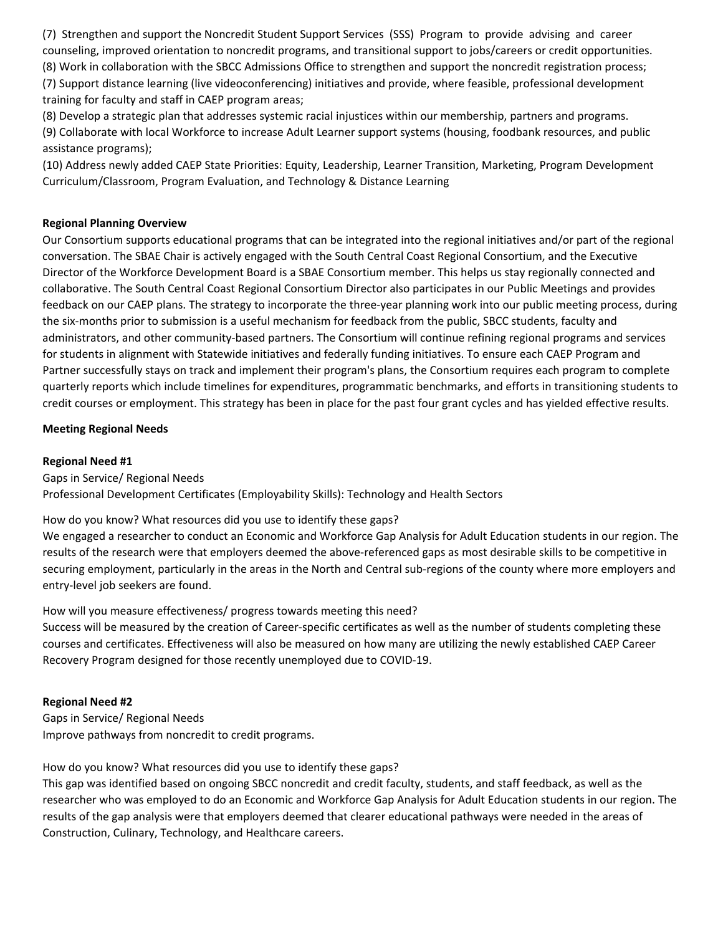(7) Strengthen and support the Noncredit Student Support Services (SSS) Program to provide advising and career counseling, improved orientation to noncredit programs, and transitional support to jobs/careers or credit opportunities. (8) Work in collaboration with the SBCC Admissions Office to strengthen and support the noncredit registration process; (7) Support distance learning (live videoconferencing) initiatives and provide, where feasible, professional development training for faculty and staff in CAEP program areas;

(8) Develop a strategic plan that addresses systemic racial injustices within our membership, partners and programs.

(9) Collaborate with local Workforce to increase Adult Learner support systems (housing, foodbank resources, and public assistance programs);

(10) Address newly added CAEP State Priorities: Equity, Leadership, Learner Transition, Marketing, Program Development Curriculum/Classroom, Program Evaluation, and Technology & Distance Learning

### **Regional Planning Overview**

Our Consortium supports educational programs that can be integrated into the regional initiatives and/or part of the regional conversation. The SBAE Chair is actively engaged with the South Central Coast Regional Consortium, and the Executive Director of the Workforce Development Board is a SBAE Consortium member. This helps us stay regionally connected and collaborative. The South Central Coast Regional Consortium Director also participates in our Public Meetings and provides feedback on our CAEP plans. The strategy to incorporate the three-year planning work into our public meeting process, during the six-months prior to submission is a useful mechanism for feedback from the public, SBCC students, faculty and administrators, and other community-based partners. The Consortium will continue refining regional programs and services for students in alignment with Statewide initiatives and federally funding initiatives. To ensure each CAEP Program and Partner successfully stays on track and implement their program's plans, the Consortium requires each program to complete quarterly reports which include timelines for expenditures, programmatic benchmarks, and efforts in transitioning students to credit courses or employment. This strategy has been in place for the past four grant cycles and has yielded effective results.

### **Meeting Regional Needs**

#### **Regional Need #1**

Gaps in Service/ Regional Needs Professional Development Certificates (Employability Skills): Technology and Health Sectors

How do you know? What resources did you use to identify these gaps?

We engaged a researcher to conduct an Economic and Workforce Gap Analysis for Adult Education students in our region. The results of the research were that employers deemed the above-referenced gaps as most desirable skills to be competitive in securing employment, particularly in the areas in the North and Central sub-regions of the county where more employers and entry-level job seekers are found.

How will you measure effectiveness/ progress towards meeting this need?

Success will be measured by the creation of Career-specific certificates as well as the number of students completing these courses and certificates. Effectiveness will also be measured on how many are utilizing the newly established CAEP Career Recovery Program designed for those recently unemployed due to COVID-19.

# **Regional Need #2**

Gaps in Service/ Regional Needs Improve pathways from noncredit to credit programs.

How do you know? What resources did you use to identify these gaps?

This gap was identified based on ongoing SBCC noncredit and credit faculty, students, and staff feedback, as well as the researcher who was employed to do an Economic and Workforce Gap Analysis for Adult Education students in our region. The results of the gap analysis were that employers deemed that clearer educational pathways were needed in the areas of Construction, Culinary, Technology, and Healthcare careers.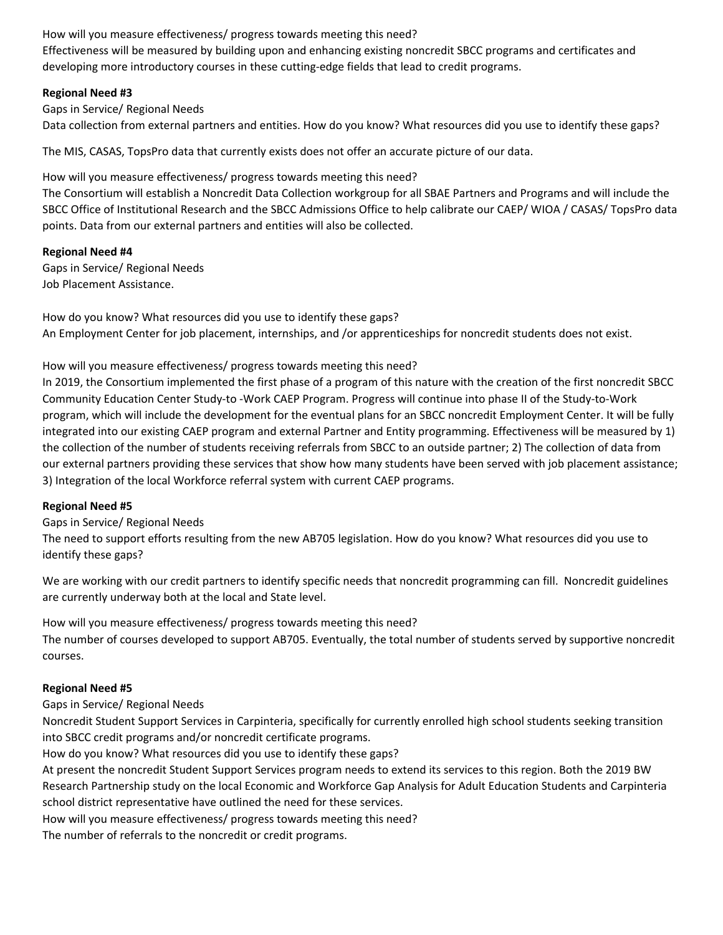How will you measure effectiveness/ progress towards meeting this need?

Effectiveness will be measured by building upon and enhancing existing noncredit SBCC programs and certificates and developing more introductory courses in these cutting-edge fields that lead to credit programs.

### **Regional Need #3**

Gaps in Service/ Regional Needs Data collection from external partners and entities. How do you know? What resources did you use to identify these gaps?

The MIS, CASAS, TopsPro data that currently exists does not offer an accurate picture of our data.

How will you measure effectiveness/ progress towards meeting this need?

The Consortium will establish a Noncredit Data Collection workgroup for all SBAE Partners and Programs and will include the SBCC Office of Institutional Research and the SBCC Admissions Office to help calibrate our CAEP/ WIOA / CASAS/ TopsPro data points. Data from our external partners and entities will also be collected.

# **Regional Need #4**

Gaps in Service/ Regional Needs Job Placement Assistance.

How do you know? What resources did you use to identify these gaps? An Employment Center for job placement, internships, and /or apprenticeships for noncredit students does not exist.

# How will you measure effectiveness/ progress towards meeting this need?

In 2019, the Consortium implemented the first phase of a program of this nature with the creation of the first noncredit SBCC Community Education Center Study-to -Work CAEP Program. Progress will continue into phase II of the Study-to-Work program, which will include the development for the eventual plans for an SBCC noncredit Employment Center. It will be fully integrated into our existing CAEP program and external Partner and Entity programming. Effectiveness will be measured by 1) the collection of the number of students receiving referrals from SBCC to an outside partner; 2) The collection of data from our external partners providing these services that show how many students have been served with job placement assistance; 3) Integration of the local Workforce referral system with current CAEP programs.

# **Regional Need #5**

Gaps in Service/ Regional Needs

The need to support efforts resulting from the new AB705 legislation. How do you know? What resources did you use to identify these gaps?

We are working with our credit partners to identify specific needs that noncredit programming can fill. Noncredit guidelines are currently underway both at the local and State level.

How will you measure effectiveness/ progress towards meeting this need? The number of courses developed to support AB705. Eventually, the total number of students served by supportive noncredit courses.

# **Regional Need #5**

Gaps in Service/ Regional Needs

Noncredit Student Support Services in Carpinteria, specifically for currently enrolled high school students seeking transition into SBCC credit programs and/or noncredit certificate programs.

How do you know? What resources did you use to identify these gaps?

At present the noncredit Student Support Services program needs to extend its services to this region. Both the 2019 BW Research Partnership study on the local Economic and Workforce Gap Analysis for Adult Education Students and Carpinteria school district representative have outlined the need for these services.

How will you measure effectiveness/ progress towards meeting this need?

The number of referrals to the noncredit or credit programs.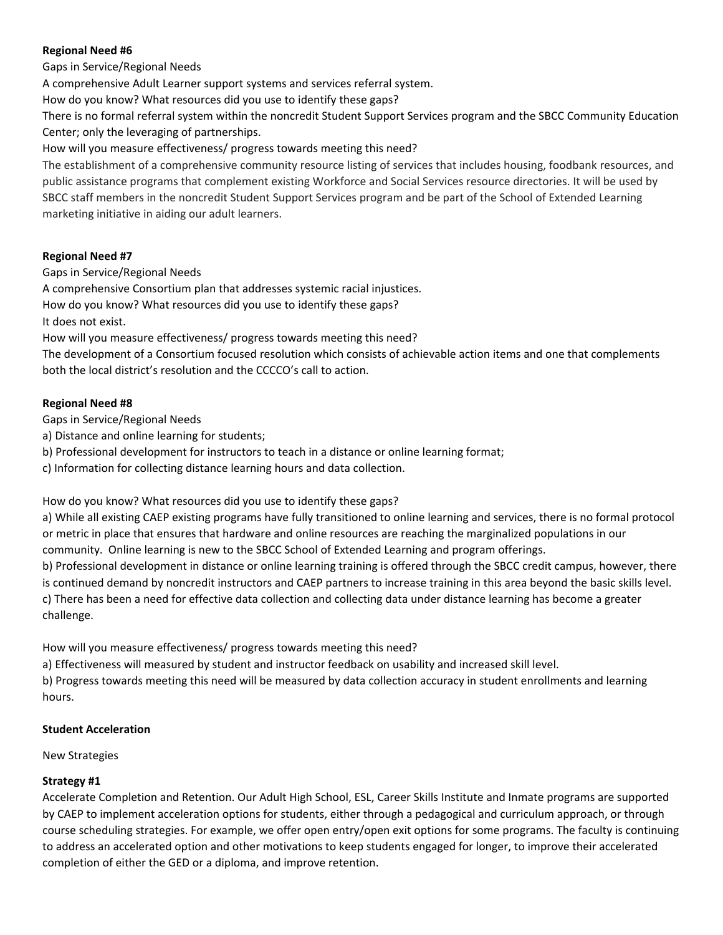# **Regional Need #6**

Gaps in Service/Regional Needs

A comprehensive Adult Learner support systems and services referral system.

How do you know? What resources did you use to identify these gaps?

There is no formal referral system within the noncredit Student Support Services program and the SBCC Community Education Center; only the leveraging of partnerships.

How will you measure effectiveness/ progress towards meeting this need?

The establishment of a comprehensive community resource listing of services that includes housing, foodbank resources, and public assistance programs that complement existing Workforce and Social Services resource directories. It will be used by SBCC staff members in the noncredit Student Support Services program and be part of the School of Extended Learning marketing initiative in aiding our adult learners.

### **Regional Need #7**

Gaps in Service/Regional Needs

A comprehensive Consortium plan that addresses systemic racial injustices.

How do you know? What resources did you use to identify these gaps?

It does not exist.

How will you measure effectiveness/ progress towards meeting this need?

The development of a Consortium focused resolution which consists of achievable action items and one that complements both the local district's resolution and the CCCCO's call to action.

### **Regional Need #8**

Gaps in Service/Regional Needs

- a) Distance and online learning for students;
- b) Professional development for instructors to teach in a distance or online learning format;

c) Information for collecting distance learning hours and data collection.

How do you know? What resources did you use to identify these gaps?

a) While all existing CAEP existing programs have fully transitioned to online learning and services, there is no formal protocol or metric in place that ensures that hardware and online resources are reaching the marginalized populations in our community. Online learning is new to the SBCC School of Extended Learning and program offerings.

b) Professional development in distance or online learning training is offered through the SBCC credit campus, however, there is continued demand by noncredit instructors and CAEP partners to increase training in this area beyond the basic skills level. c) There has been a need for effective data collection and collecting data under distance learning has become a greater challenge.

How will you measure effectiveness/ progress towards meeting this need?

a) Effectiveness will measured by student and instructor feedback on usability and increased skill level.

b) Progress towards meeting this need will be measured by data collection accuracy in student enrollments and learning hours.

#### **Student Acceleration**

New Strategies

# **Strategy #1**

Accelerate Completion and Retention. Our Adult High School, ESL, Career Skills Institute and Inmate programs are supported by CAEP to implement acceleration options for students, either through a pedagogical and curriculum approach, or through course scheduling strategies. For example, we offer open entry/open exit options for some programs. The faculty is continuing to address an accelerated option and other motivations to keep students engaged for longer, to improve their accelerated completion of either the GED or a diploma, and improve retention.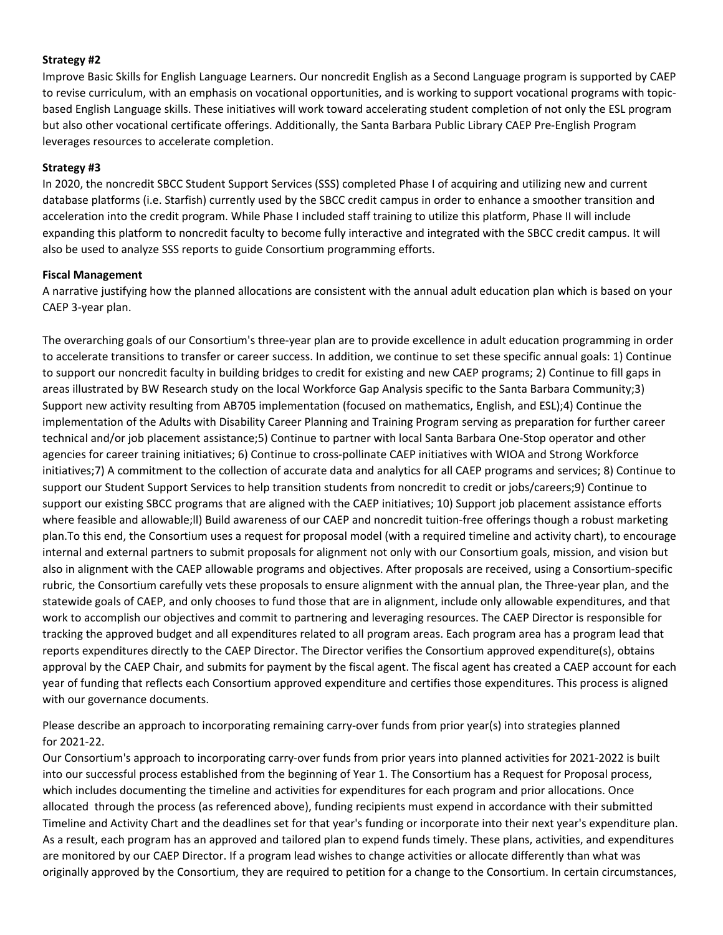### **Strategy #2**

Improve Basic Skills for English Language Learners. Our noncredit English as a Second Language program is supported by CAEP to revise curriculum, with an emphasis on vocational opportunities, and is working to support vocational programs with topicbased English Language skills. These initiatives will work toward accelerating student completion of not only the ESL program but also other vocational certificate offerings. Additionally, the Santa Barbara Public Library CAEP Pre-English Program leverages resources to accelerate completion.

#### **Strategy #3**

In 2020, the noncredit SBCC Student Support Services (SSS) completed Phase I of acquiring and utilizing new and current database platforms (i.e. Starfish) currently used by the SBCC credit campus in order to enhance a smoother transition and acceleration into the credit program. While Phase I included staff training to utilize this platform, Phase II will include expanding this platform to noncredit faculty to become fully interactive and integrated with the SBCC credit campus. It will also be used to analyze SSS reports to guide Consortium programming efforts.

### **Fiscal Management**

A narrative justifying how the planned allocations are consistent with the annual adult education plan which is based on your CAEP 3-year plan.

The overarching goals of our Consortium's three-year plan are to provide excellence in adult education programming in order to accelerate transitions to transfer or career success. In addition, we continue to set these specific annual goals: 1) Continue to support our noncredit faculty in building bridges to credit for existing and new CAEP programs; 2) Continue to fill gaps in areas illustrated by BW Research study on the local Workforce Gap Analysis specific to the Santa Barbara Community;3) Support new activity resulting from AB705 implementation (focused on mathematics, English, and ESL);4) Continue the implementation of the Adults with Disability Career Planning and Training Program serving as preparation for further career technical and/or job placement assistance;5) Continue to partner with local Santa Barbara One-Stop operator and other agencies for career training initiatives; 6) Continue to cross-pollinate CAEP initiatives with WIOA and Strong Workforce initiatives;7) A commitment to the collection of accurate data and analytics for all CAEP programs and services; 8) Continue to support our Student Support Services to help transition students from noncredit to credit or jobs/careers;9) Continue to support our existing SBCC programs that are aligned with the CAEP initiatives; 10) Support job placement assistance efforts where feasible and allowable;ll) Build awareness of our CAEP and noncredit tuition-free offerings though a robust marketing plan.To this end, the Consortium uses a request for proposal model (with a required timeline and activity chart), to encourage internal and external partners to submit proposals for alignment not only with our Consortium goals, mission, and vision but also in alignment with the CAEP allowable programs and objectives. After proposals are received, using a Consortium-specific rubric, the Consortium carefully vets these proposals to ensure alignment with the annual plan, the Three-year plan, and the statewide goals of CAEP, and only chooses to fund those that are in alignment, include only allowable expenditures, and that work to accomplish our objectives and commit to partnering and leveraging resources. The CAEP Director is responsible for tracking the approved budget and all expenditures related to all program areas. Each program area has a program lead that reports expenditures directly to the CAEP Director. The Director verifies the Consortium approved expenditure(s), obtains approval by the CAEP Chair, and submits for payment by the fiscal agent. The fiscal agent has created a CAEP account for each year of funding that reflects each Consortium approved expenditure and certifies those expenditures. This process is aligned with our governance documents.

Please describe an approach to incorporating remaining carry-over funds from prior year(s) into strategies planned for 2021-22.

Our Consortium's approach to incorporating carry-over funds from prior years into planned activities for 2021-2022 is built into our successful process established from the beginning of Year 1. The Consortium has a Request for Proposal process, which includes documenting the timeline and activities for expenditures for each program and prior allocations. Once allocated through the process (as referenced above), funding recipients must expend in accordance with their submitted Timeline and Activity Chart and the deadlines set for that year's funding or incorporate into their next year's expenditure plan. As a result, each program has an approved and tailored plan to expend funds timely. These plans, activities, and expenditures are monitored by our CAEP Director. If a program lead wishes to change activities or allocate differently than what was originally approved by the Consortium, they are required to petition for a change to the Consortium. In certain circumstances,